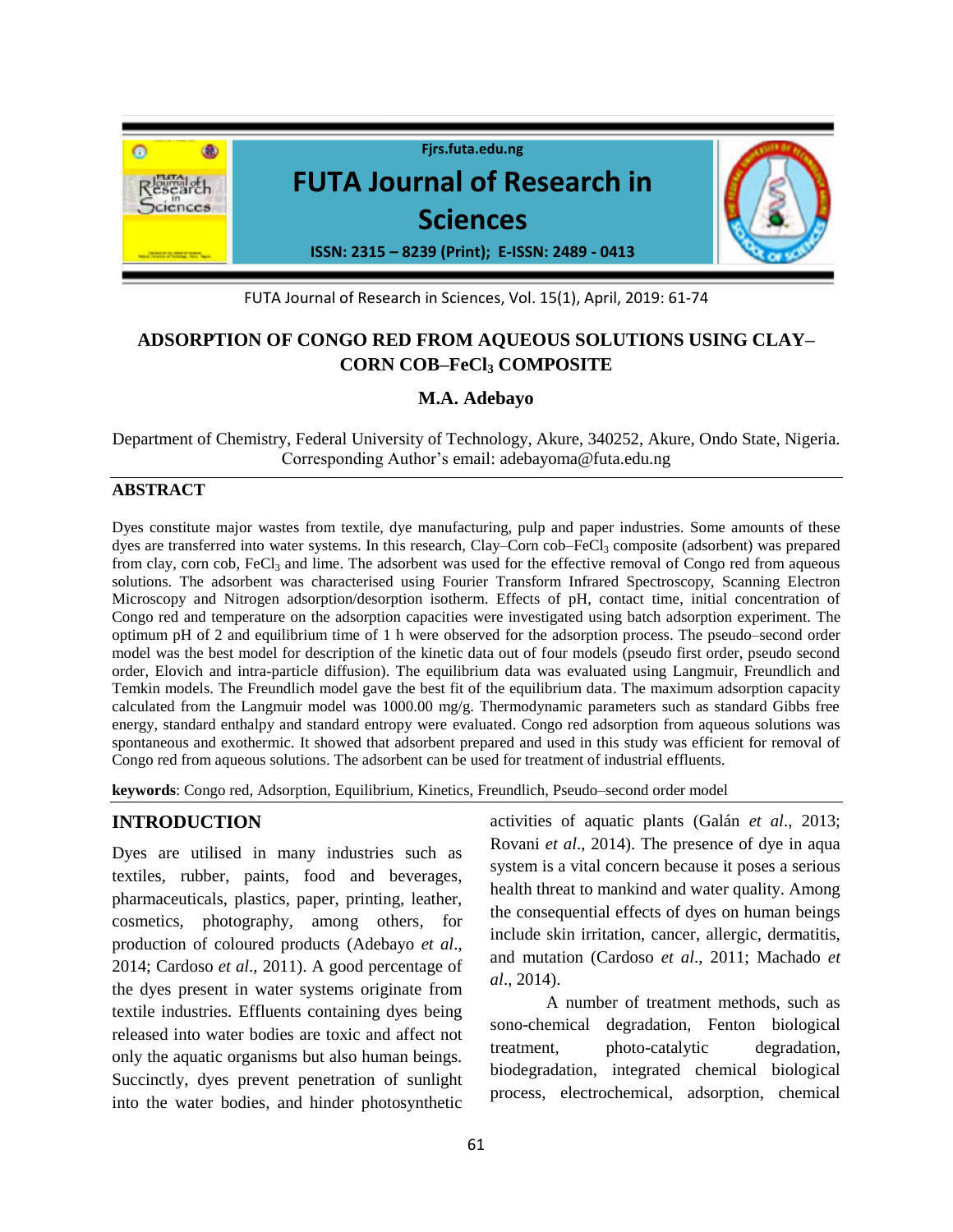

FUTA Journal of Research in Sciences, Vol. 15(1), April, 2019: 61-74

# **ADSORPTION OF CONGO RED FROM AQUEOUS SOLUTIONS USING CLAY– CORN COB–FeCl<sup>3</sup> COMPOSITE**

# **M.A. Adebayo**

Department of Chemistry, Federal University of Technology, Akure, 340252, Akure, Ondo State, Nigeria. Corresponding Author's email: [adebayoma@futa.edu.ng](mailto:adebayoma@futa.edu.ng)

### **ABSTRACT**

Dyes constitute major wastes from textile, dye manufacturing, pulp and paper industries. Some amounts of these dyes are transferred into water systems. In this research, Clay–Corn cob–FeCl<sub>3</sub> composite (adsorbent) was prepared from clay, corn cob,  $FeCl<sub>3</sub>$  and lime. The adsorbent was used for the effective removal of Congo red from aqueous solutions. The adsorbent was characterised using Fourier Transform Infrared Spectroscopy, Scanning Electron Microscopy and Nitrogen adsorption/desorption isotherm. Effects of pH, contact time, initial concentration of Congo red and temperature on the adsorption capacities were investigated using batch adsorption experiment. The optimum pH of 2 and equilibrium time of 1 h were observed for the adsorption process. The pseudo–second order model was the best model for description of the kinetic data out of four models (pseudo first order, pseudo second order, Elovich and intra-particle diffusion). The equilibrium data was evaluated using Langmuir, Freundlich and Temkin models. The Freundlich model gave the best fit of the equilibrium data. The maximum adsorption capacity calculated from the Langmuir model was 1000.00 mg/g. Thermodynamic parameters such as standard Gibbs free energy, standard enthalpy and standard entropy were evaluated. Congo red adsorption from aqueous solutions was spontaneous and exothermic. It showed that adsorbent prepared and used in this study was efficient for removal of Congo red from aqueous solutions. The adsorbent can be used for treatment of industrial effluents.

**keywords**: Congo red, Adsorption, Equilibrium, Kinetics, Freundlich, Pseudo–second order model

# **INTRODUCTION**

Dyes are utilised in many industries such as textiles, rubber, paints, food and beverages, pharmaceuticals, plastics, paper, printing, leather, cosmetics, photography, among others, for production of coloured products (Adebayo *et al*., 2014; Cardoso *et al*., 2011). A good percentage of the dyes present in water systems originate from textile industries*.* Effluents containing dyes being released into water bodies are toxic and affect not only the aquatic organisms but also human beings. Succinctly, dyes prevent penetration of sunlight into the water bodies, and hinder photosynthetic

activities of aquatic plants (Galán *et al*., 2013; Rovani *et al*., 2014). The presence of dye in aqua system is a vital concern because it poses a serious health threat to mankind and water quality. Among the consequential effects of dyes on human beings include skin irritation, cancer, allergic, dermatitis, and mutation (Cardoso *et al*., 2011; Machado *et al*., 2014).

A number of treatment methods, such as sono-chemical degradation, Fenton biological treatment, photo-catalytic degradation, biodegradation, integrated chemical biological process, electrochemical, adsorption, chemical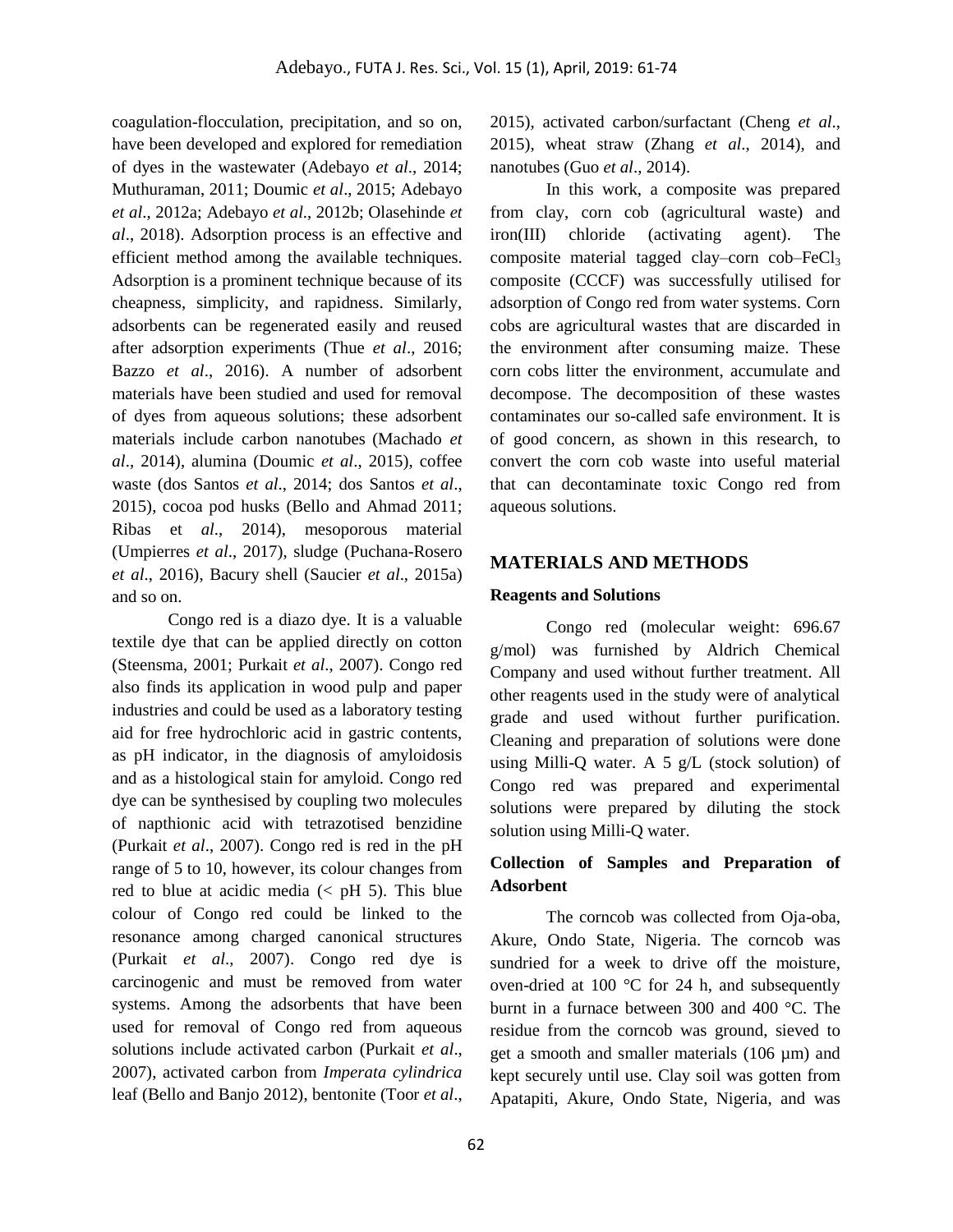coagulation-flocculation, precipitation, and so on, have been developed and explored for remediation of dyes in the wastewater (Adebayo *et al*., 2014; Muthuraman, 2011; Doumic *et al*., 2015; Adebayo *et al*., 2012a; Adebayo *et al*., 2012b; Olasehinde *et al*., 2018). Adsorption process is an effective and efficient method among the available techniques. Adsorption is a prominent technique because of its cheapness, simplicity, and rapidness. Similarly, adsorbents can be regenerated easily and reused after adsorption experiments (Thue *et al*., 2016; Bazzo *et al*., 2016). A number of adsorbent materials have been studied and used for removal of dyes from aqueous solutions; these adsorbent materials include carbon nanotubes (Machado *et al*., 2014), alumina (Doumic *et al*., 2015), coffee waste (dos Santos *et al*., 2014; dos Santos *et al*., 2015), cocoa pod husks (Bello and Ahmad 2011; Ribas et *al*., 2014), mesoporous material (Umpierres *et al*., 2017), sludge (Puchana-Rosero *et al*., 2016), Bacury shell (Saucier *et al*., 2015a) and so on.

Congo red is a diazo dye. It is a valuable textile dye that can be applied directly on cotton (Steensma, 2001; Purkait *et al*., 2007). Congo red also finds its application in wood pulp and paper industries and could be used as a laboratory testing aid for free hydrochloric acid in gastric contents, as pH indicator, in the diagnosis of amyloidosis and as a histological stain for amyloid. Congo red dye can be synthesised by coupling two molecules of napthionic acid with tetrazotised benzidine (Purkait *et al*., 2007). Congo red is red in the pH range of 5 to 10, however, its colour changes from red to blue at acidic media  $(<$  pH 5). This blue colour of Congo red could be linked to the resonance among charged canonical structures (Purkait *et al*., 2007). Congo red dye is carcinogenic and must be removed from water systems. Among the adsorbents that have been used for removal of Congo red from aqueous solutions include activated carbon (Purkait *et al*., 2007), activated carbon from *Imperata cylindrica* leaf (Bello and Banjo 2012), bentonite (Toor *et al*.,

2015), activated carbon/surfactant (Cheng *et al*., 2015), wheat straw (Zhang *et al*., 2014), and nanotubes (Guo *et al*., 2014).

In this work, a composite was prepared from clay, corn cob (agricultural waste) and iron(III) chloride (activating agent). The composite material tagged clay–corn  $\text{cob-FeCl}_3$ composite (CCCF) was successfully utilised for adsorption of Congo red from water systems. Corn cobs are agricultural wastes that are discarded in the environment after consuming maize. These corn cobs litter the environment, accumulate and decompose. The decomposition of these wastes contaminates our so-called safe environment. It is of good concern, as shown in this research, to convert the corn cob waste into useful material that can decontaminate toxic Congo red from aqueous solutions.

## **MATERIALS AND METHODS**

### **Reagents and Solutions**

Congo red (molecular weight: 696.67 g/mol) was furnished by Aldrich Chemical Company and used without further treatment. All other reagents used in the study were of analytical grade and used without further purification. Cleaning and preparation of solutions were done using Milli-Q water. A 5 g/L (stock solution) of Congo red was prepared and experimental solutions were prepared by diluting the stock solution using Milli-Q water.

## **Collection of Samples and Preparation of Adsorbent**

The corncob was collected from Oja-oba, Akure, Ondo State, Nigeria. The corncob was sundried for a week to drive off the moisture, oven-dried at 100 °C for 24 h, and subsequently burnt in a furnace between 300 and 400 °C. The residue from the corncob was ground, sieved to get a smooth and smaller materials (106 µm) and kept securely until use. Clay soil was gotten from Apatapiti, Akure, Ondo State, Nigeria, and was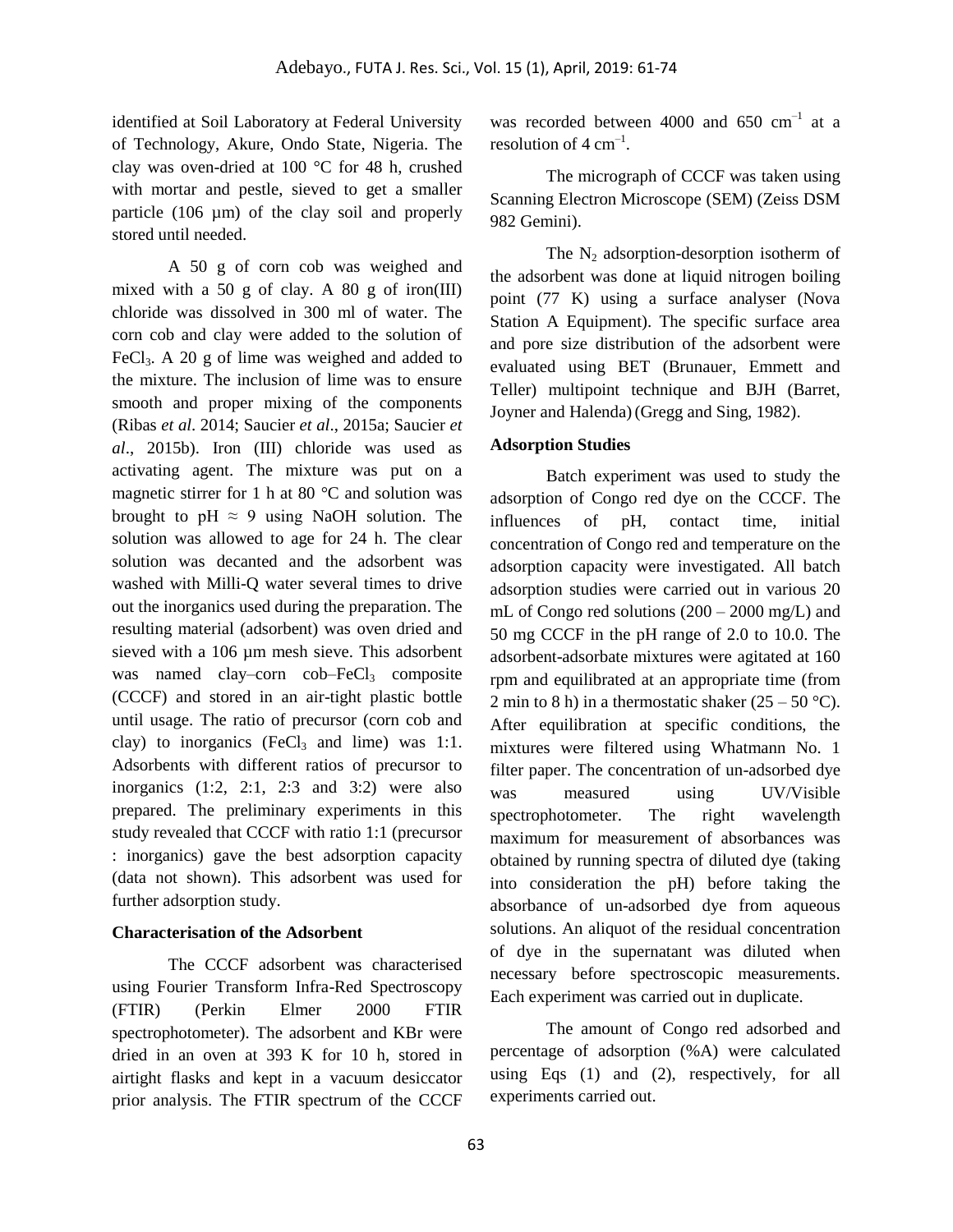identified at Soil Laboratory at Federal University of Technology, Akure, Ondo State, Nigeria. The clay was oven-dried at 100 °C for 48 h, crushed with mortar and pestle, sieved to get a smaller particle (106 µm) of the clay soil and properly stored until needed.

A 50 g of corn cob was weighed and mixed with a 50 g of clay. A 80 g of iron(III) chloride was dissolved in 300 ml of water. The corn cob and clay were added to the solution of FeCl<sub>3</sub>. A 20 g of lime was weighed and added to the mixture. The inclusion of lime was to ensure smooth and proper mixing of the components (Ribas *et al*. 2014; Saucier *et al*., 2015a; Saucier *et al*., 2015b). Iron (III) chloride was used as activating agent. The mixture was put on a magnetic stirrer for 1 h at 80 °C and solution was brought to pH  $\approx$  9 using NaOH solution. The solution was allowed to age for 24 h. The clear solution was decanted and the adsorbent was washed with Milli-Q water several times to drive out the inorganics used during the preparation. The resulting material (adsorbent) was oven dried and sieved with a 106 µm mesh sieve. This adsorbent was named clay–corn  $\cosh$ –FeCl<sub>3</sub> composite (CCCF) and stored in an air-tight plastic bottle until usage. The ratio of precursor (corn cob and clay) to inorganics  $(FeCl<sub>3</sub>$  and lime) was 1:1. Adsorbents with different ratios of precursor to inorganics  $(1:2, 2:1, 2:3$  and  $(3:2)$  were also prepared. The preliminary experiments in this study revealed that CCCF with ratio 1:1 (precursor : inorganics) gave the best adsorption capacity (data not shown). This adsorbent was used for further adsorption study.

### **Characterisation of the Adsorbent**

The CCCF adsorbent was characterised using Fourier Transform Infra-Red Spectroscopy (FTIR) (Perkin Elmer 2000 FTIR spectrophotometer). The adsorbent and KBr were dried in an oven at 393 K for 10 h, stored in airtight flasks and kept in a vacuum desiccator prior analysis. The FTIR spectrum of the CCCF

was recorded between 4000 and  $650 \text{ cm}^{-1}$  at a resolution of  $4 \text{ cm}^{-1}$ .

The micrograph of CCCF was taken using Scanning Electron Microscope (SEM) (Zeiss DSM 982 Gemini).

The  $N_2$  adsorption-desorption isotherm of the adsorbent was done at liquid nitrogen boiling point (77 K) using a surface analyser (Nova Station A Equipment). The specific surface area and pore size distribution of the adsorbent were evaluated using BET (Brunauer, Emmett and Teller) multipoint technique and BJH (Barret, Joyner and Halenda)(Gregg and Sing, 1982).

### **Adsorption Studies**

Batch experiment was used to study the adsorption of Congo red dye on the CCCF. The influences of pH, contact time, initial concentration of Congo red and temperature on the adsorption capacity were investigated. All batch adsorption studies were carried out in various 20 mL of Congo red solutions (200 – 2000 mg/L) and 50 mg CCCF in the pH range of 2.0 to 10.0. The adsorbent-adsorbate mixtures were agitated at 160 rpm and equilibrated at an appropriate time (from 2 min to 8 h) in a thermostatic shaker  $(25 - 50 \degree C)$ . After equilibration at specific conditions, the mixtures were filtered using Whatmann No. 1 filter paper. The concentration of un-adsorbed dye was measured using UV/Visible spectrophotometer. The right wavelength maximum for measurement of absorbances was obtained by running spectra of diluted dye (taking into consideration the pH) before taking the absorbance of un-adsorbed dye from aqueous solutions. An aliquot of the residual concentration of dye in the supernatant was diluted when necessary before spectroscopic measurements. Each experiment was carried out in duplicate.

The amount of Congo red adsorbed and percentage of adsorption (%A) were calculated using Eqs (1) and (2), respectively, for all experiments carried out.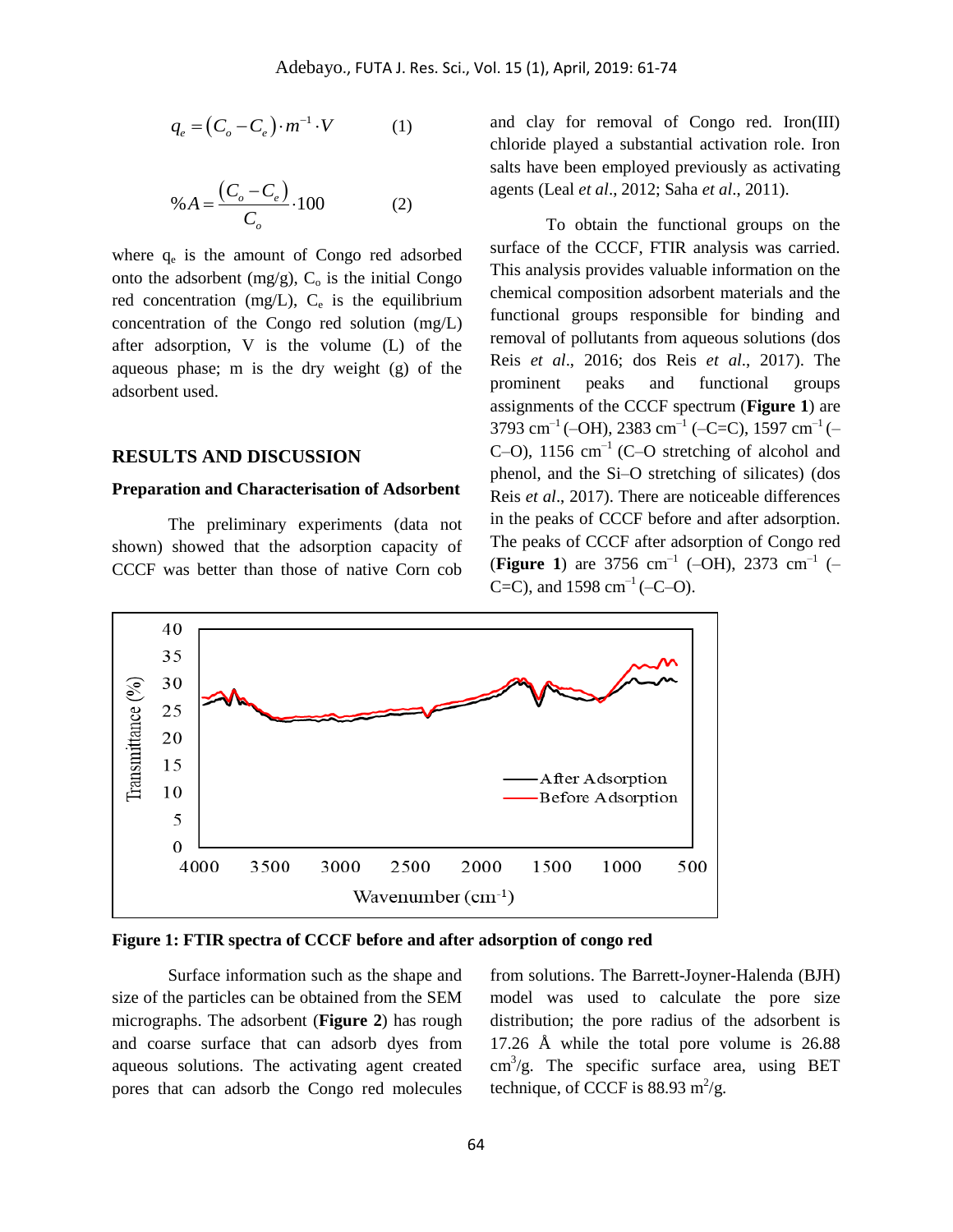$$
q_e = (C_o - C_e) \cdot m^{-1} \cdot V \tag{1}
$$

$$
\% A = \frac{(C_o - C_e)}{C_o} \cdot 100
$$
 (2)

where  $q_e$  is the amount of Congo red adsorbed onto the adsorbent (mg/g),  $C_0$  is the initial Congo red concentration (mg/L),  $C_e$  is the equilibrium concentration of the Congo red solution (mg/L) after adsorption, V is the volume (L) of the aqueous phase; m is the dry weight (g) of the adsorbent used.

#### **RESULTS AND DISCUSSION**

#### **Preparation and Characterisation of Adsorbent**

The preliminary experiments (data not shown) showed that the adsorption capacity of CCCF was better than those of native Corn cob

and clay for removal of Congo red. Iron(III) chloride played a substantial activation role. Iron salts have been employed previously as activating agents (Leal *et al*., 2012; Saha *et al*., 2011).

To obtain the functional groups on the surface of the CCCF, FTIR analysis was carried. This analysis provides valuable information on the chemical composition adsorbent materials and the functional groups responsible for binding and removal of pollutants from aqueous solutions (dos Reis *et al*., 2016; dos Reis *et al*., 2017). The prominent peaks and functional groups assignments of the CCCF spectrum (**Figure 1**) are 3793 cm<sup>-1</sup> (-OH), 2383 cm<sup>-1</sup> (-C=C), 1597 cm<sup>-1</sup> (-C–O),  $1156 \text{ cm}^{-1}$  (C–O stretching of alcohol and phenol, and the Si–O stretching of silicates) (dos Reis *et al*., 2017). There are noticeable differences in the peaks of CCCF before and after adsorption. The peaks of CCCF after adsorption of Congo red (**Figure 1**) are 3756 cm<sup>-1</sup> (-OH), 2373 cm<sup>-1</sup> (-C=C), and  $1598 \text{ cm}^{-1}$  (-C-O).



### **Figure 1: FTIR spectra of CCCF before and after adsorption of congo red**

Surface information such as the shape and size of the particles can be obtained from the SEM micrographs. The adsorbent (**Figure 2**) has rough and coarse surface that can adsorb dyes from aqueous solutions. The activating agent created pores that can adsorb the Congo red molecules from solutions. The Barrett-Joyner-Halenda (BJH) model was used to calculate the pore size distribution; the pore radius of the adsorbent is 17.26 Å while the total pore volume is 26.88  $\text{cm}^3/\text{g}$ . The specific surface area, using BET technique, of CCCF is  $88.93 \text{ m}^2/\text{g}$ .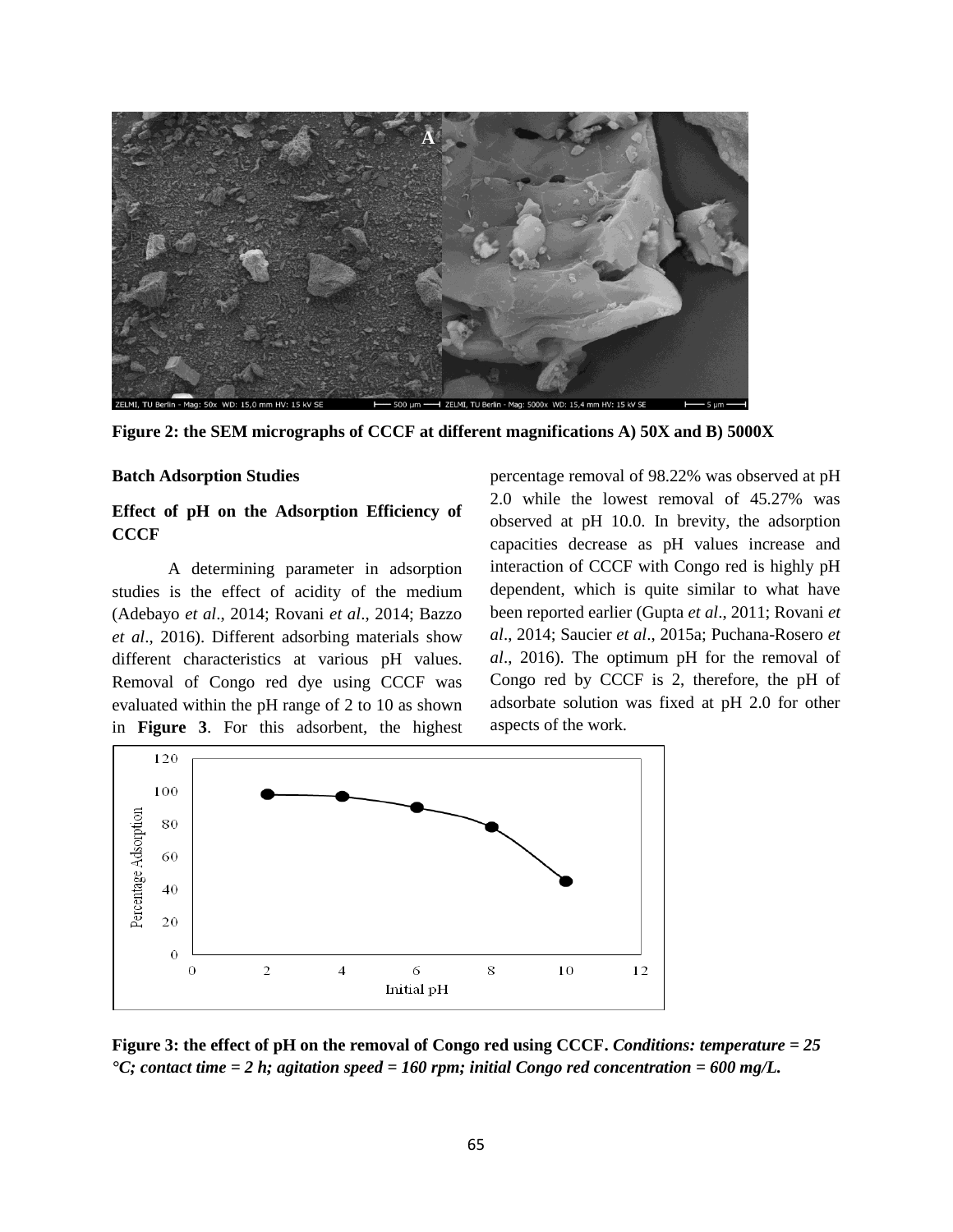

**Figure 2: the SEM micrographs of CCCF at different magnifications A) 50X and B) 5000X**

#### **Batch Adsorption Studies**

## **Effect of pH on the Adsorption Efficiency of CCCF**

A determining parameter in adsorption studies is the effect of acidity of the medium (Adebayo *et al*., 2014; Rovani *et al*., 2014; Bazzo *et al*., 2016). Different adsorbing materials show different characteristics at various pH values. Removal of Congo red dye using CCCF was evaluated within the pH range of 2 to 10 as shown in **Figure 3**. For this adsorbent, the highest percentage removal of 98.22% was observed at pH 2.0 while the lowest removal of 45.27% was observed at pH 10.0. In brevity, the adsorption capacities decrease as pH values increase and interaction of CCCF with Congo red is highly pH dependent, which is quite similar to what have been reported earlier (Gupta *et al*., 2011; Rovani *et al*., 2014; Saucier *et al*., 2015a; Puchana-Rosero *et al*., 2016). The optimum pH for the removal of Congo red by CCCF is 2, therefore, the pH of adsorbate solution was fixed at pH 2.0 for other aspects of the work.



**Figure 3: the effect of pH on the removal of Congo red using CCCF.** *Conditions: temperature = 25 °C; contact time = 2 h; agitation speed = 160 rpm; initial Congo red concentration = 600 mg/L.*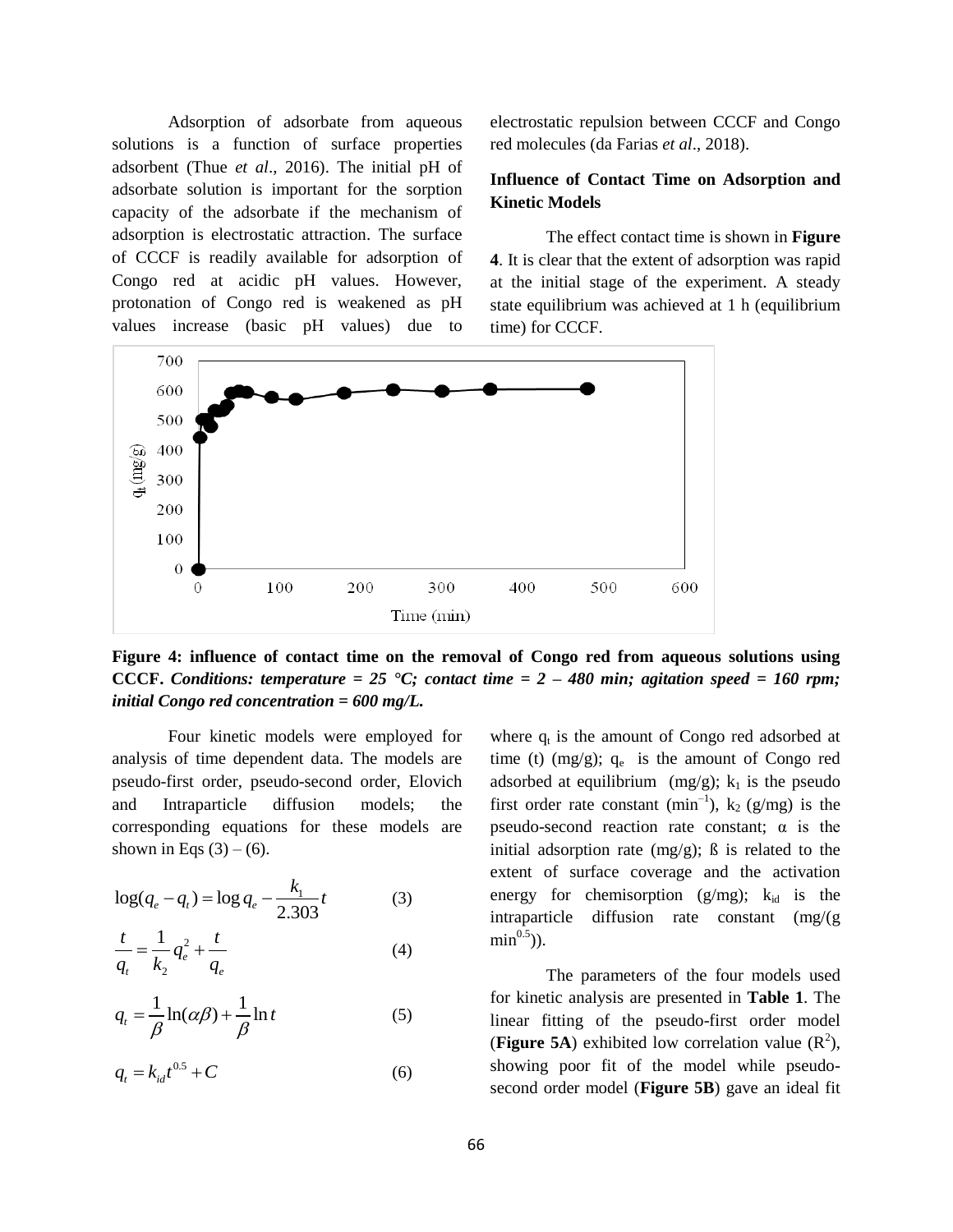Adsorption of adsorbate from aqueous solutions is a function of surface properties adsorbent (Thue *et al*., 2016). The initial pH of adsorbate solution is important for the sorption capacity of the adsorbate if the mechanism of adsorption is electrostatic attraction. The surface of CCCF is readily available for adsorption of Congo red at acidic pH values. However, protonation of Congo red is weakened as pH values increase (basic pH values) due to

electrostatic repulsion between CCCF and Congo red molecules (da Farias *et al*., 2018).

# **Influence of Contact Time on Adsorption and Kinetic Models**

The effect contact time is shown in **Figure 4**. It is clear that the extent of adsorption was rapid at the initial stage of the experiment. A steady state equilibrium was achieved at 1 h (equilibrium time) for CCCF.



**Figure 4: influence of contact time on the removal of Congo red from aqueous solutions using CCCF.** *Conditions: temperature = 25*  $\textdegree C$ ; *contact time = 2 – 480 min; agitation speed = 160 rpm; initial Congo red concentration = 600 mg/L.*

Four kinetic models were employed for analysis of time dependent data. The models are pseudo-first order, pseudo-second order, Elovich and Intraparticle diffusion models; the corresponding equations for these models are shown in Eqs  $(3) - (6)$ .

$$
\log(q_e - q_t) = \log q_e - \frac{k_1}{2.303}t\tag{3}
$$

$$
\frac{t}{q_t} = \frac{1}{k_2} q_e^2 + \frac{t}{q_e}
$$
 (4)

$$
q_{t} = \frac{1}{\beta} \ln(\alpha \beta) + \frac{1}{\beta} \ln t
$$
 (5)

$$
q_t = k_{id}t^{0.5} + C \tag{6}
$$

where  $q_t$  is the amount of Congo red adsorbed at time (t) (mg/g);  $q_e$  is the amount of Congo red adsorbed at equilibrium  $(mg/g)$ ; k<sub>1</sub> is the pseudo first order rate constant (min<sup>-1</sup>),  $k_2$  (g/mg) is the pseudo-second reaction rate constant;  $\alpha$  is the initial adsorption rate  $(mg/g)$ ;  $\beta$  is related to the extent of surface coverage and the activation energy for chemisorption  $(g/mg)$ ;  $k_{id}$  is the intraparticle diffusion rate constant (mg/(g  $\min^{0.5}$ )).

The parameters of the four models used for kinetic analysis are presented in **Table 1**. The linear fitting of the pseudo-first order model (Figure 5A) exhibited low correlation value  $(R^2)$ , showing poor fit of the model while pseudosecond order model (**Figure 5B**) gave an ideal fit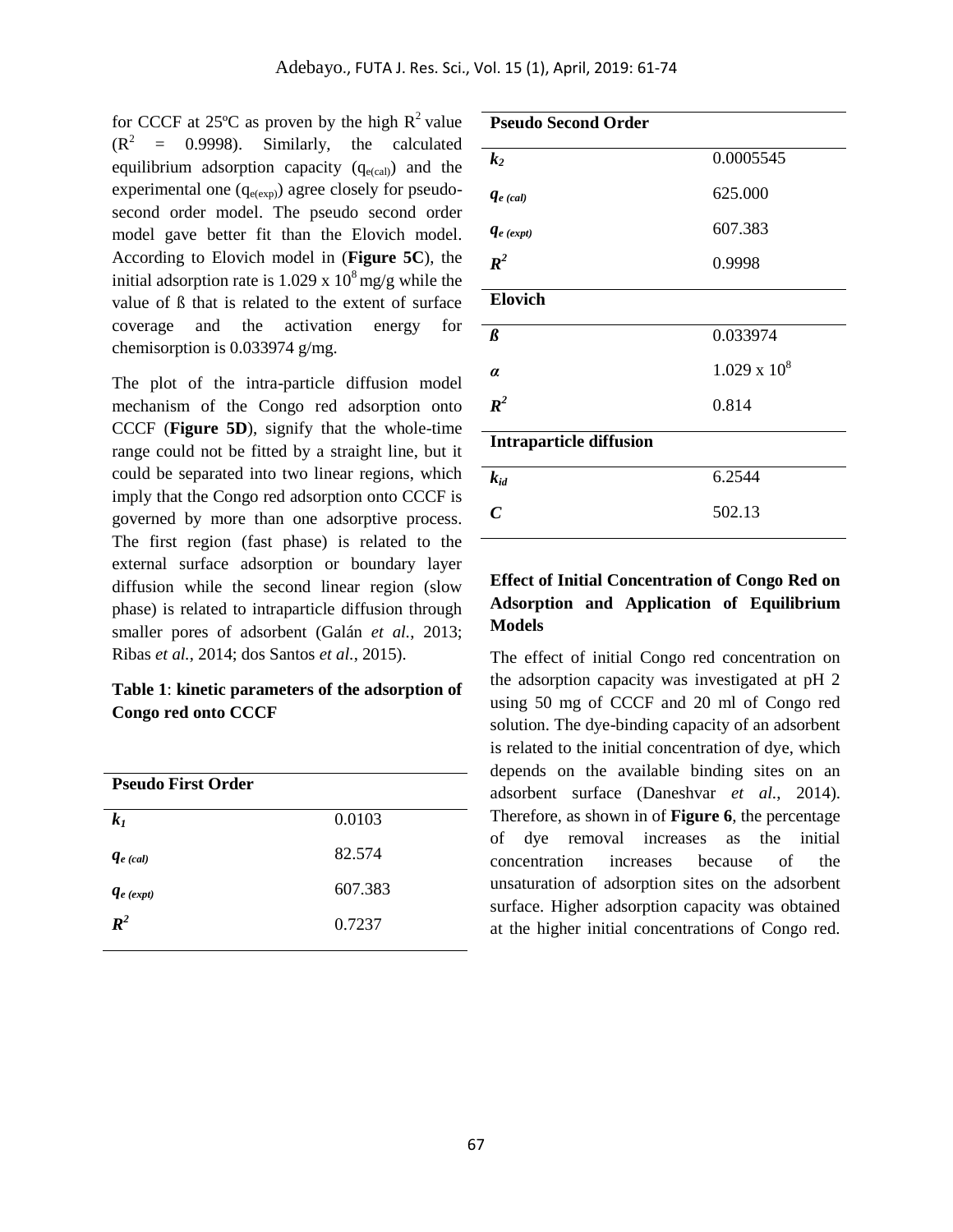for CCCF at 25 $\degree$ C as proven by the high R<sup>2</sup> value  $(R<sup>2</sup> = 0.9998)$ . Similarly, the calculated equilibrium adsorption capacity  $(q_{e(cal)})$  and the experimental one  $(q_{e(exp)})$  agree closely for pseudosecond order model. The pseudo second order model gave better fit than the Elovich model. According to Elovich model in (**Figure 5C**), the initial adsorption rate is  $1.029 \times 10^8 \text{ mg/g}$  while the value of ß that is related to the extent of surface coverage and the activation energy for chemisorption is 0.033974 g/mg.

The plot of the intra-particle diffusion model mechanism of the Congo red adsorption onto CCCF (**Figure 5D**), signify that the whole-time range could not be fitted by a straight line, but it could be separated into two linear regions, which imply that the Congo red adsorption onto CCCF is governed by more than one adsorptive process. The first region (fast phase) is related to the external surface adsorption or boundary layer diffusion while the second linear region (slow phase) is related to intraparticle diffusion through smaller pores of adsorbent (Galán *et al.*, 2013; Ribas *et al.*, 2014; dos Santos *et al.*, 2015).

## **Table 1**: **kinetic parameters of the adsorption of Congo red onto CCCF**

| <b>Pseudo First Order</b> |         |
|---------------------------|---------|
| $k_I$                     | 0.0103  |
| $q_{e (cal)}$             | 82.574  |
| $q_{e}$ (expt)            | 607.383 |
| $\boldsymbol{R}^2$        | 0.7237  |
|                           |         |

| <b>Pseudo Second Order</b>     |                     |
|--------------------------------|---------------------|
| k <sub>2</sub>                 | 0.0005545           |
| $q_{e (cal)}$                  | 625.000             |
| $q_{e}$ (expt)                 | 607.383             |
| $\mathbb{R}^2$                 | 0.9998              |
| <b>Elovich</b>                 |                     |
| $\beta$                        | 0.033974            |
| $\alpha$                       | $1.029 \times 10^8$ |
| $\mathbb{R}^2$                 | 0.814               |
| <b>Intraparticle diffusion</b> |                     |
| $k_{id}$                       | 6.2544              |
| $\mathcal C$                   | 502.13              |
|                                |                     |

# **Effect of Initial Concentration of Congo Red on Adsorption and Application of Equilibrium Models**

The effect of initial Congo red concentration on the adsorption capacity was investigated at pH 2 using 50 mg of CCCF and 20 ml of Congo red solution. The dye-binding capacity of an adsorbent is related to the initial concentration of dye, which depends on the available binding sites on an adsorbent surface (Daneshvar *et al.*, 2014). Therefore, as shown in of **Figure 6**, the percentage of dye removal increases as the initial concentration increases because of the unsaturation of adsorption sites on the adsorbent surface. Higher adsorption capacity was obtained at the higher initial concentrations of Congo red.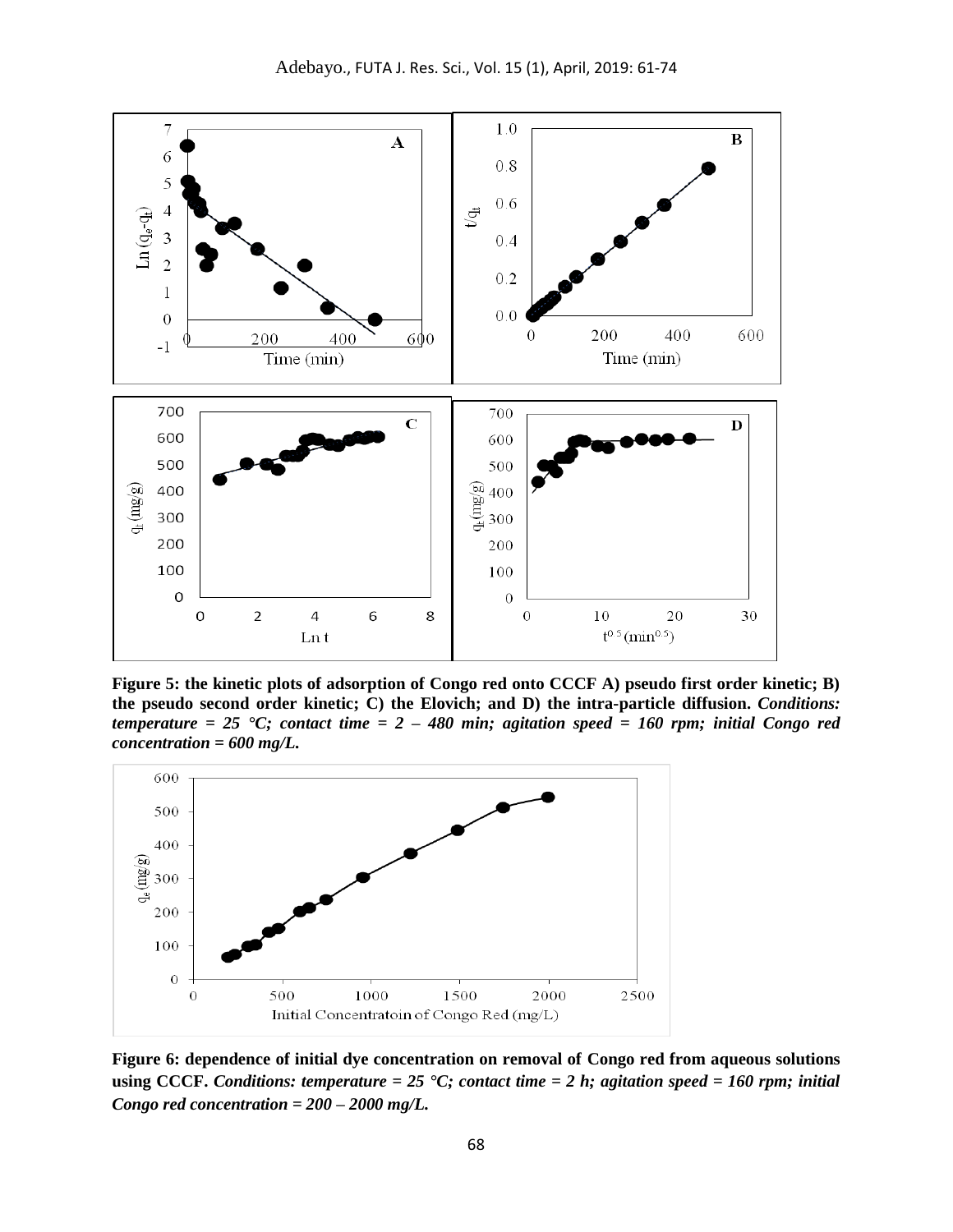

**Figure 5: the kinetic plots of adsorption of Congo red onto CCCF A) pseudo first order kinetic; B) the pseudo second order kinetic; C) the Elovich; and D) the intra-particle diffusion.** *Conditions: temperature = 25 °C; contact time = 2 – 480 min; agitation speed = 160 rpm; initial Congo red concentration = 600 mg/L.*



**Figure 6: dependence of initial dye concentration on removal of Congo red from aqueous solutions using CCCF.** *Conditions: temperature = 25 °C; contact time = 2 h; agitation speed = 160 rpm; initial Congo red concentration = 200 – 2000 mg/L.*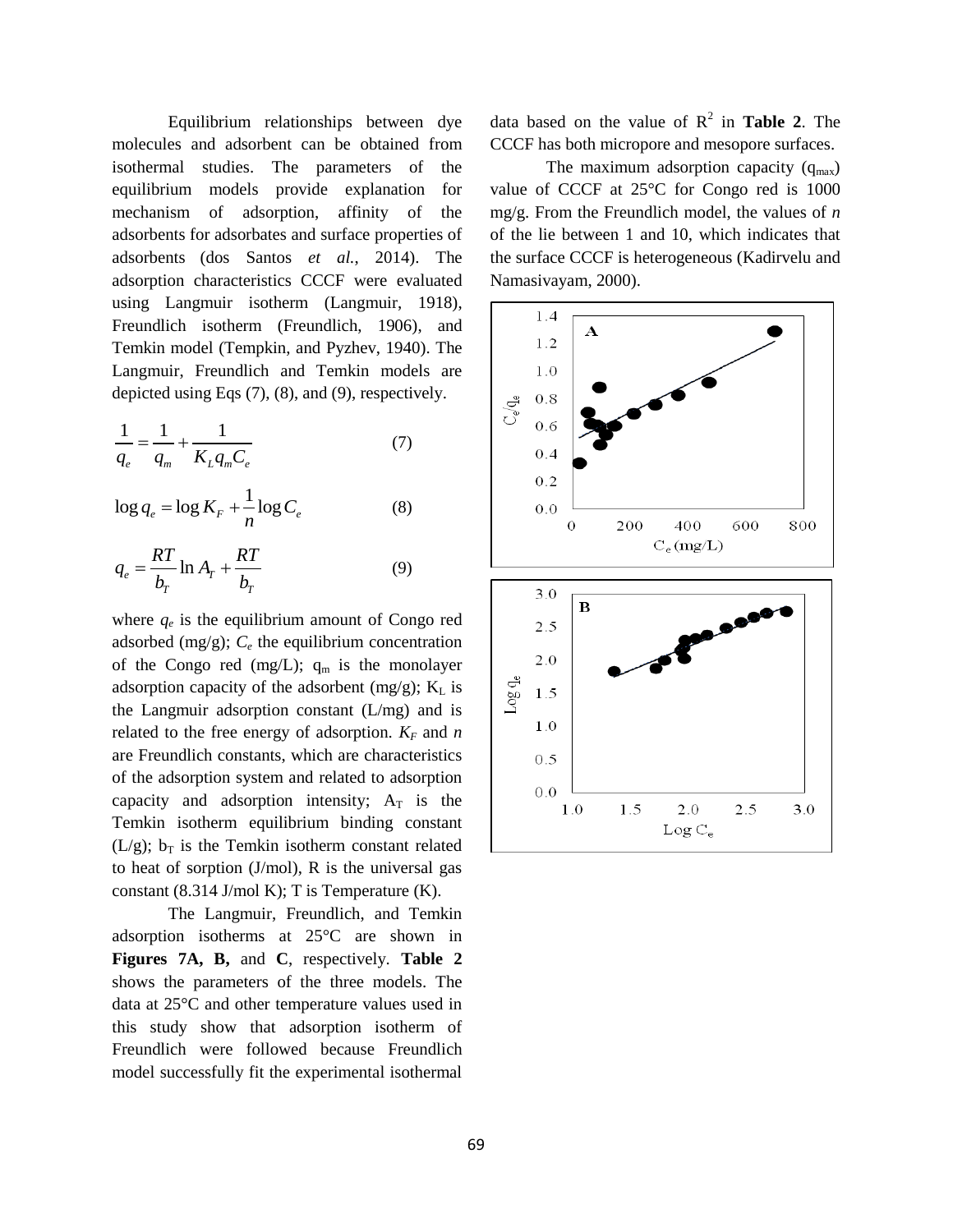Equilibrium relationships between dye molecules and adsorbent can be obtained from isothermal studies. The parameters of the equilibrium models provide explanation for mechanism of adsorption, affinity of the adsorbents for adsorbates and surface properties of adsorbents (dos Santos *et al.*, 2014). The adsorption characteristics CCCF were evaluated using Langmuir isotherm (Langmuir, 1918), Freundlich isotherm (Freundlich, 1906), and Temkin model (Tempkin, and Pyzhev, 1940). The Langmuir, Freundlich and Temkin models are depicted using Eqs (7), (8), and (9), respectively.

$$
\frac{1}{q_e} = \frac{1}{q_m} + \frac{1}{K_L q_m C_e} \tag{7}
$$

$$
\log q_e = \log K_F + \frac{1}{n} \log C_e \tag{8}
$$

$$
q_e = \frac{RT}{b_T} \ln A_T + \frac{RT}{b_T} \tag{9}
$$

where  $q_e$  is the equilibrium amount of Congo red adsorbed  $(mg/g)$ ;  $C_e$  the equilibrium concentration of the Congo red (mg/L);  $q_m$  is the monolayer adsorption capacity of the adsorbent (mg/g);  $K<sub>L</sub>$  is the Langmuir adsorption constant (L/mg) and is related to the free energy of adsorption.  $K_F$  and *n* are Freundlich constants, which are characteristics of the adsorption system and related to adsorption capacity and adsorption intensity;  $A_T$  is the Temkin isotherm equilibrium binding constant (L/g);  $b_T$  is the Temkin isotherm constant related to heat of sorption (J/mol), R is the universal gas constant (8.314 J/mol K); T is Temperature (K).

The Langmuir, Freundlich, and Temkin adsorption isotherms at 25°C are shown in **Figures 7A, B,** and **C**, respectively. **Table 2** shows the parameters of the three models. The data at 25°C and other temperature values used in this study show that adsorption isotherm of Freundlich were followed because Freundlich model successfully fit the experimental isothermal

data based on the value of  $R^2$  in **Table 2**. The CCCF has both micropore and mesopore surfaces.

The maximum adsorption capacity  $(q_{max})$ value of CCCF at 25°C for Congo red is 1000 mg/g. From the Freundlich model, the values of *n* of the lie between 1 and 10, which indicates that the surface CCCF is heterogeneous (Kadirvelu and Namasivayam, 2000).

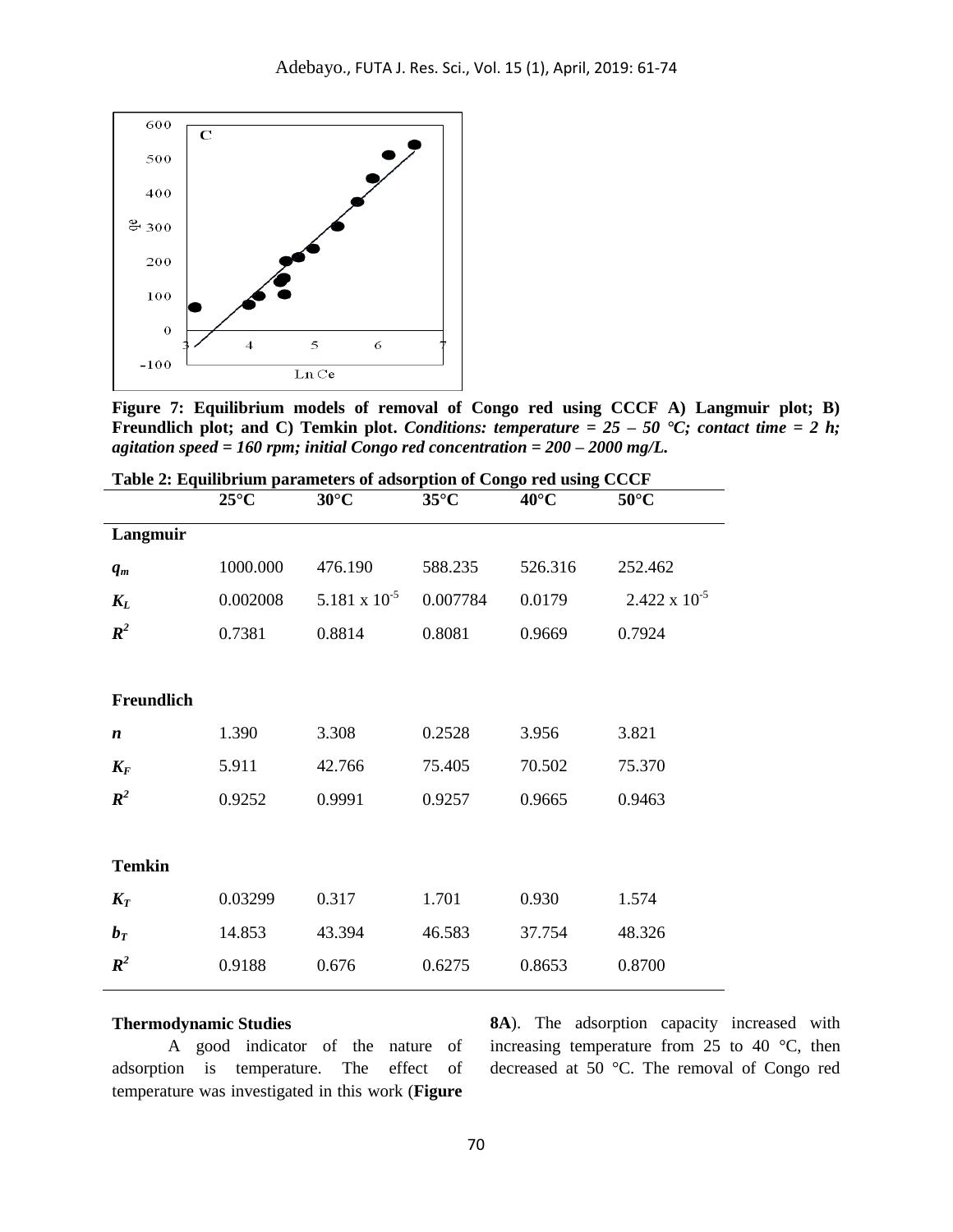

**Figure 7: Equilibrium models of removal of Congo red using CCCF A) Langmuir plot; B) Freundlich plot; and C) Temkin plot.** *Conditions: temperature = 25 – 50* **°C;** *contact time = 2 h***;** *agitation speed = 160 rpm; initial Congo red concentration = 200 – 2000 mg/L.*

|                  |                | Table 2. Equilibrium parameters of ausorphon or Congo Fed using CCCF |                |                |                        |
|------------------|----------------|----------------------------------------------------------------------|----------------|----------------|------------------------|
|                  | $25^{\circ}$ C | $30^{\circ}$ C                                                       | $35^{\circ}$ C | $40^{\circ}$ C | $50^{\circ}$ C         |
| Langmuir         |                |                                                                      |                |                |                        |
| $q_m$            | 1000.000       | 476.190                                                              | 588.235        | 526.316        | 252.462                |
| $K_L$            | 0.002008       | $5.181 \times 10^{-5}$                                               | 0.007784       | 0.0179         | $2.422 \times 10^{-5}$ |
| $\mathbb{R}^2$   | 0.7381         | 0.8814                                                               | 0.8081         | 0.9669         | 0.7924                 |
|                  |                |                                                                      |                |                |                        |
| Freundlich       |                |                                                                      |                |                |                        |
| $\boldsymbol{n}$ | 1.390          | 3.308                                                                | 0.2528         | 3.956          | 3.821                  |
| $K_F$            | 5.911          | 42.766                                                               | 75.405         | 70.502         | 75.370                 |
| $R^2$            | 0.9252         | 0.9991                                                               | 0.9257         | 0.9665         | 0.9463                 |
|                  |                |                                                                      |                |                |                        |
| <b>Temkin</b>    |                |                                                                      |                |                |                        |
| $K_T$            | 0.03299        | 0.317                                                                | 1.701          | 0.930          | 1.574                  |
| $b_T$            | 14.853         | 43.394                                                               | 46.583         | 37.754         | 48.326                 |
| $R^2$            | 0.9188         | 0.676                                                                | 0.6275         | 0.8653         | 0.8700                 |
|                  |                |                                                                      |                |                |                        |

**Table 2: Equilibrium parameters of adsorption of Congo red using CCCF**

#### **Thermodynamic Studies**

A good indicator of the nature of adsorption is temperature. The effect of temperature was investigated in this work (**Figure** 

**8A**). The adsorption capacity increased with increasing temperature from 25 to 40 °C, then decreased at 50 °C. The removal of Congo red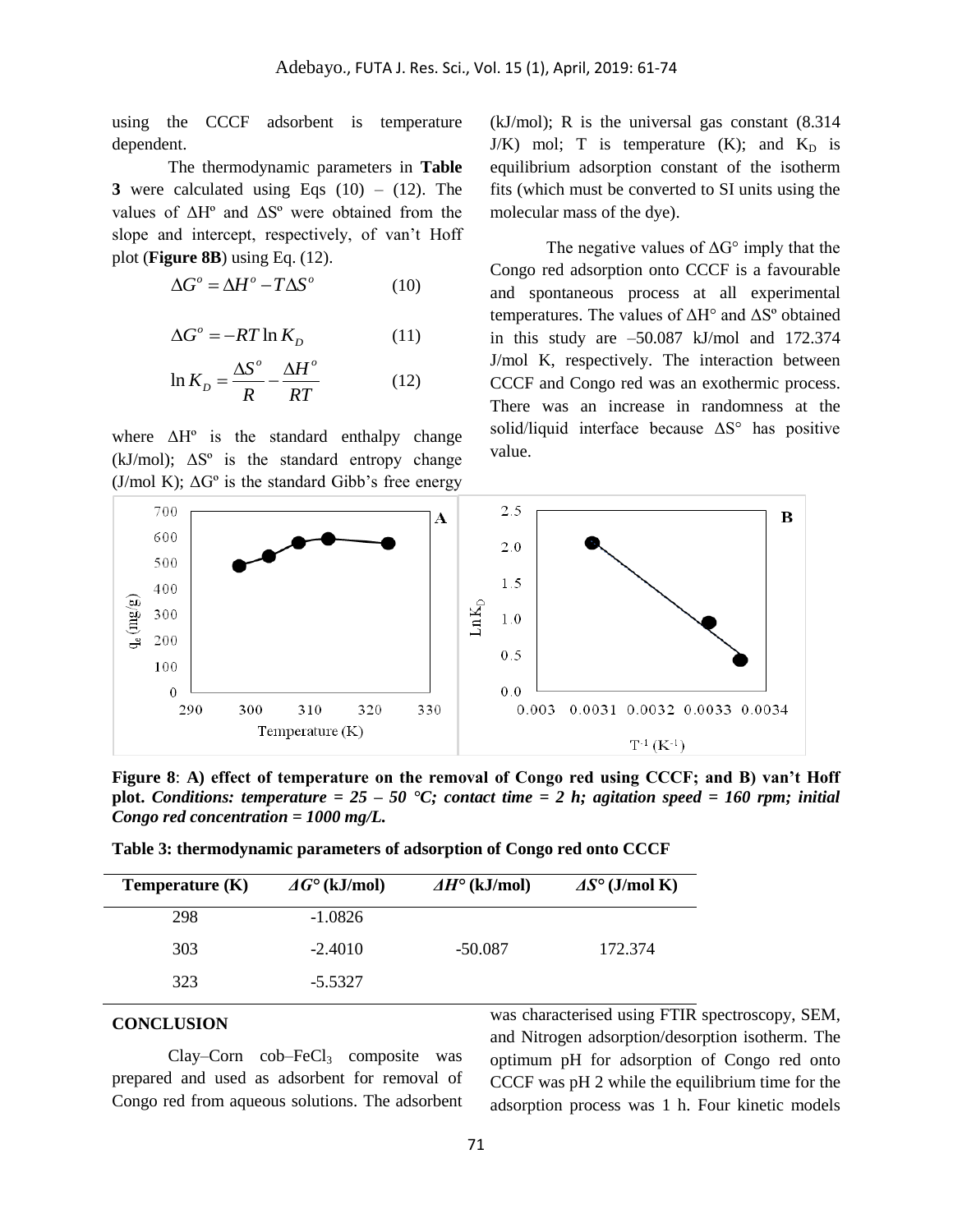using the CCCF adsorbent is temperature dependent.

The thermodynamic parameters in **Table 3** were calculated using Eqs  $(10) - (12)$ . The values of ΔHº and ΔSº were obtained from the slope and intercept, respectively, of van't Hoff plot (**Figure 8B**) using Eq. (12).

$$
\Delta G^{\circ} = \Delta H^{\circ} - T\Delta S^{\circ} \tag{10}
$$

$$
\Delta G^{\circ} = -RT \ln K_D \tag{11}
$$

$$
\ln K_D = \frac{\Delta S^o}{R} - \frac{\Delta H^o}{RT}
$$
 (12)

where  $\Delta H^{\circ}$  is the standard enthalpy change (kJ/mol);  $\Delta S^{\circ}$  is the standard entropy change (J/mol K);  $\Delta G^{\circ}$  is the standard Gibb's free energy

(kJ/mol); R is the universal gas constant (8.314  $J/K$ ) mol; T is temperature (K); and  $K_D$  is equilibrium adsorption constant of the isotherm fits (which must be converted to SI units using the molecular mass of the dye).

The negative values of  $\Delta G^{\circ}$  imply that the Congo red adsorption onto CCCF is a favourable and spontaneous process at all experimental temperatures. The values of ΔH° and ΔSº obtained in this study are  $-50.087$  kJ/mol and  $172.374$ J/mol K, respectively. The interaction between CCCF and Congo red was an exothermic process. There was an increase in randomness at the solid/liquid interface because ΔS° has positive value.



**Figure 8**: **A) effect of temperature on the removal of Congo red using CCCF; and B) van't Hoff plot.** *Conditions: temperature = 25 – 50*  $\text{°C}$ ; *contact time = 2 h; agitation speed = 160 rpm; initial Congo red concentration = 1000 mg/L.*

| Table 3: thermodynamic parameters of adsorption of Congo red onto CCCF |  |  |
|------------------------------------------------------------------------|--|--|
|                                                                        |  |  |

| Temperature $(K)$ | $\Delta G^{\circ}$ (kJ/mol) | $\Delta H^{\circ}$ (kJ/mol) | $\Delta S^{\circ}$ (J/mol K) |
|-------------------|-----------------------------|-----------------------------|------------------------------|
| 298               | $-1.0826$                   |                             |                              |
| 303               | $-2.4010$                   | $-50.087$                   | 172.374                      |
| 323               | $-5.5327$                   |                             |                              |

### **CONCLUSION**

 $Clav-Corn$  cob–Fe $Cl<sub>3</sub>$  composite was prepared and used as adsorbent for removal of Congo red from aqueous solutions. The adsorbent was characterised using FTIR spectroscopy, SEM, and Nitrogen adsorption/desorption isotherm. The optimum pH for adsorption of Congo red onto CCCF was pH 2 while the equilibrium time for the adsorption process was 1 h. Four kinetic models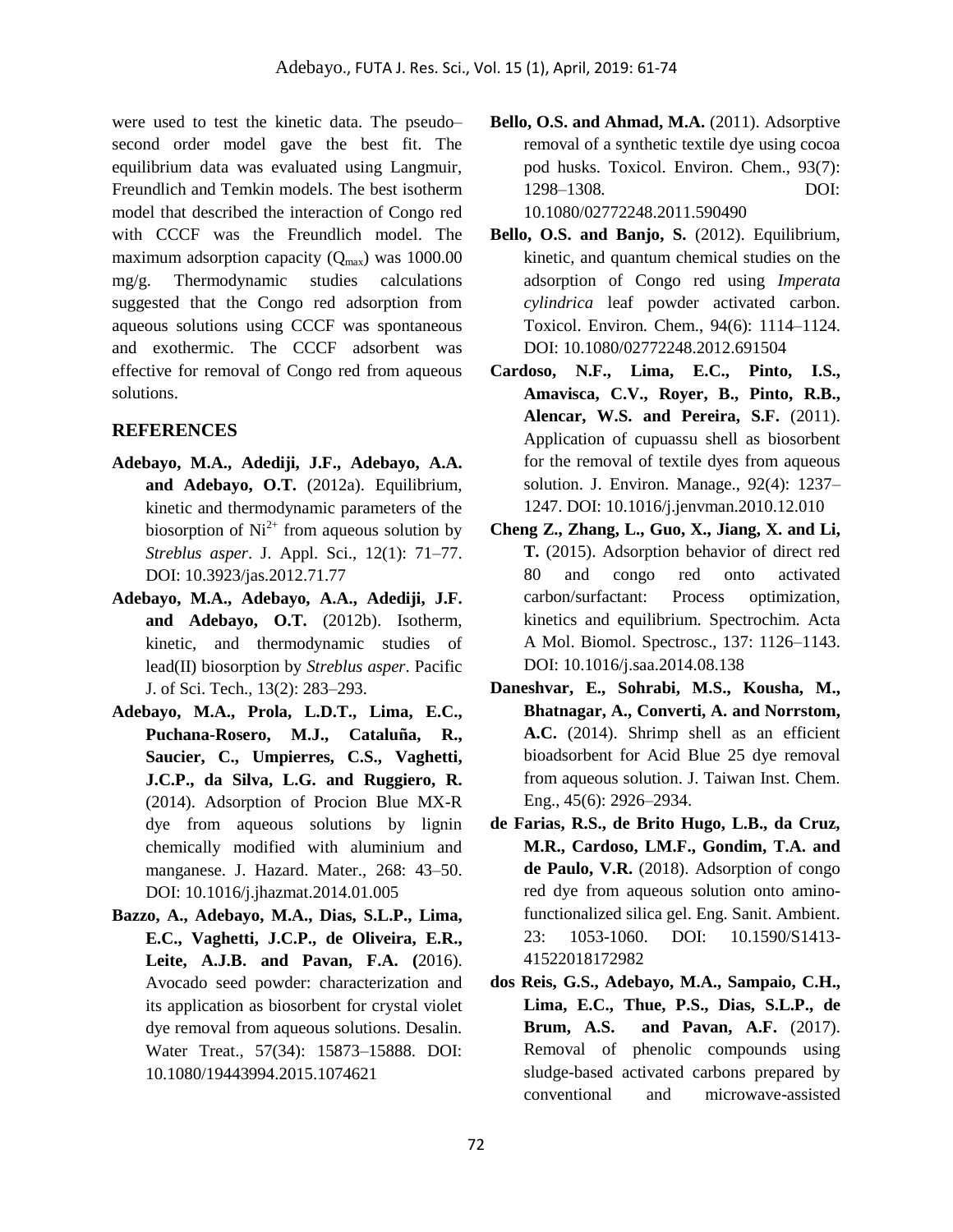were used to test the kinetic data. The pseudo– second order model gave the best fit. The equilibrium data was evaluated using Langmuir, Freundlich and Temkin models. The best isotherm model that described the interaction of Congo red with CCCF was the Freundlich model. The maximum adsorption capacity  $(Q<sub>max</sub>)$  was 1000.00 mg/g. Thermodynamic studies calculations suggested that the Congo red adsorption from aqueous solutions using CCCF was spontaneous and exothermic. The CCCF adsorbent was effective for removal of Congo red from aqueous solutions.

# **REFERENCES**

- **Adebayo, M.A., Adediji, J.F., Adebayo, A.A. and Adebayo, O.T.** (2012a). Equilibrium, kinetic and thermodynamic parameters of the biosorption of  $Ni<sup>2+</sup>$  from aqueous solution by *Streblus asper*. J. Appl. Sci., 12(1): 71–77. DOI: 10.3923/jas.2012.71.77
- **Adebayo, M.A., Adebayo, A.A., Adediji, J.F. and Adebayo, O.T.** (2012b). Isotherm, kinetic, and thermodynamic studies of lead(II) biosorption by *Streblus asper*. Pacific J. of Sci. Tech., 13(2): 283–293.
- **Adebayo, M.A., Prola, L.D.T., Lima, E.C., Puchana-Rosero, M.J., Cataluña, R., Saucier, C., Umpierres, C.S., Vaghetti, J.C.P., da Silva, L.G. and Ruggiero, R.**  (2014). Adsorption of Procion Blue MX-R dye from aqueous solutions by lignin chemically modified with aluminium and manganese. J. Hazard. Mater., 268: 43–50. DOI: 10.1016/j.jhazmat.2014.01.005
- **Bazzo, A., Adebayo, M.A., Dias, S.L.P., Lima, E.C., Vaghetti, J.C.P., de Oliveira, E.R., Leite, A.J.B. and Pavan, F.A. (**2016). Avocado seed powder: characterization and its application as biosorbent for crystal violet dye removal from aqueous solutions. Desalin. Water Treat., 57(34): 15873–15888. DOI: 10.1080/19443994.2015.1074621
- **Bello, O.S. and Ahmad, M.A.** (2011). Adsorptive removal of a synthetic textile dye using cocoa pod husks. Toxicol. Environ. Chem., 93(7): 1298–1308. DOI: 10.1080/02772248.2011.590490
- **Bello, O.S. and Banjo, S.** (2012). Equilibrium, kinetic, and quantum chemical studies on the adsorption of Congo red using *Imperata cylindrica* leaf powder activated carbon. Toxicol. Environ. Chem., 94(6): 1114–1124. DOI: 10.1080/02772248.2012.691504
- **Cardoso, N.F., Lima, E.C., Pinto, I.S., Amavisca, C.V., Royer, B., Pinto, R.B., Alencar, W.S. and Pereira, S.F.** (2011). Application of cupuassu shell as biosorbent for the removal of textile dyes from aqueous solution. J. Environ. Manage., 92(4): 1237– 1247. DOI: 10.1016/j.jenvman.2010.12.010
- **Cheng Z., Zhang, L., Guo, X., Jiang, X. and Li, T.** (2015). Adsorption behavior of direct red 80 and congo red onto activated carbon/surfactant: Process optimization, kinetics and equilibrium. Spectrochim. Acta A Mol. Biomol. Spectrosc., 137: 1126–1143. DOI: 10.1016/j.saa.2014.08.138
- **Daneshvar, E., Sohrabi, M.S., Kousha, M., Bhatnagar, A., Converti, A. and Norrstom, A.C.** (2014). Shrimp shell as an efficient bioadsorbent for Acid Blue 25 dye removal from aqueous solution. J. Taiwan Inst. Chem. Eng., 45(6): 2926–2934.
- **de Farias, R.S., de Brito Hugo, L.B., da Cruz, M.R., Cardoso, LM.F., Gondim, T.A. and de Paulo, V.R.** (2018). Adsorption of congo red dye from aqueous solution onto aminofunctionalized silica gel. Eng. Sanit. Ambient. 23: 1053-1060. DOI: 10.1590/S1413- 41522018172982
- **dos Reis, G.S., Adebayo, M.A., Sampaio, C.H., Lima, E.C., Thue, P.S., Dias, S.L.P., de Brum, A.S. and Pavan, A.F.** (2017). Removal of phenolic compounds using sludge-based activated carbons prepared by conventional and microwave-assisted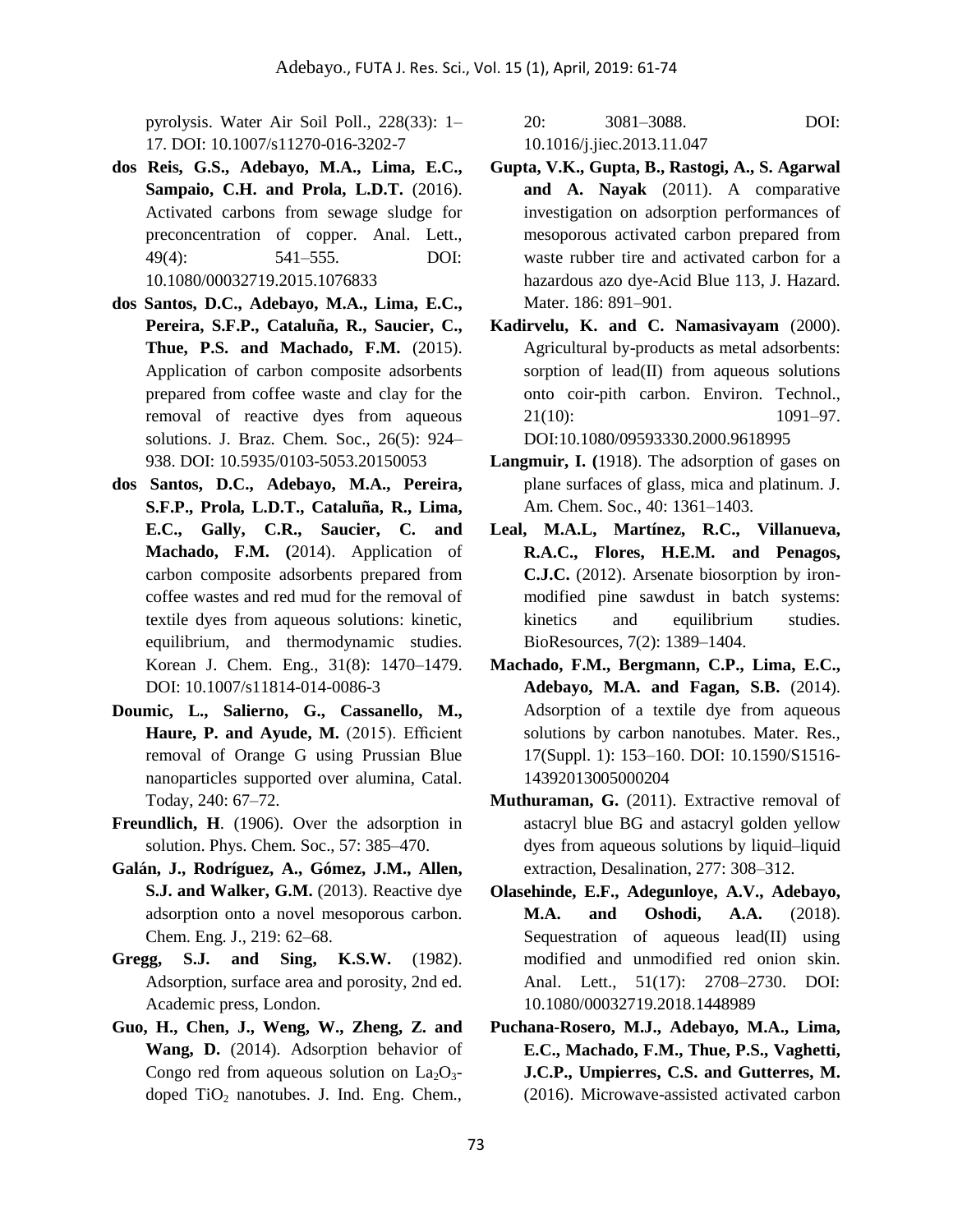pyrolysis. Water Air Soil Poll., 228(33): 1– 17. DOI: 10.1007/s11270-016-3202-7

- **dos Reis, G.S., Adebayo, M.A., Lima, E.C., Sampaio, C.H. and Prola, L.D.T.** (2016). Activated carbons from sewage sludge for preconcentration of copper. Anal. Lett., 49(4): 541–555. DOI: 10.1080/00032719.2015.1076833
- **dos Santos, D.C., Adebayo, M.A., Lima, E.C., Pereira, S.F.P., Cataluña, R., Saucier, C., Thue, P.S. and Machado, F.M.** (2015). Application of carbon composite adsorbents prepared from coffee waste and clay for the removal of reactive dyes from aqueous solutions. J. Braz. Chem. Soc., 26(5): 924– 938. DOI: 10.5935/0103-5053.20150053
- **dos Santos, D.C., Adebayo, M.A., Pereira, S.F.P., Prola, L.D.T., Cataluña, R., Lima, E.C., Gally, C.R., Saucier, C. and Machado, F.M. (**2014). Application of carbon composite adsorbents prepared from coffee wastes and red mud for the removal of textile dyes from aqueous solutions: kinetic, equilibrium, and thermodynamic studies. Korean J. Chem. Eng., 31(8): 1470–1479. DOI: 10.1007/s11814-014-0086-3
- **Doumic, L., Salierno, G., Cassanello, M., Haure, P. and Ayude, M.** (2015). Efficient removal of Orange G using Prussian Blue nanoparticles supported over alumina, Catal. Today, 240: 67–72.
- **Freundlich, H**. (1906). Over the adsorption in solution. Phys. Chem. Soc., 57: 385–470.
- **Galán, J., Rodríguez, A., Gómez, J.M., Allen, S.J. and Walker, G.M.** (2013). Reactive dye adsorption onto a novel mesoporous carbon. Chem. Eng. J., 219: 62–68.
- **Gregg, S.J. and Sing, K.S.W.** (1982). Adsorption, surface area and porosity, 2nd ed. Academic press, London.
- **Guo, H., Chen, J., Weng, W., Zheng, Z. and Wang, D.** (2014). Adsorption behavior of Congo red from aqueous solution on  $La_2O_3$ doped  $TiO<sub>2</sub>$  nanotubes. J. Ind. Eng. Chem.,

20: 3081–3088. DOI: 10.1016/j.jiec.2013.11.047

- **Gupta, V.K., Gupta, B., Rastogi, A., S. Agarwal and A. Nayak** (2011). A comparative investigation on adsorption performances of mesoporous activated carbon prepared from waste rubber tire and activated carbon for a hazardous azo dye-Acid Blue 113, J. Hazard. Mater. 186: 891–901.
- **Kadirvelu, K. and C. Namasivayam** (2000). Agricultural by-products as metal adsorbents: sorption of lead(II) from aqueous solutions onto coir-pith carbon. Environ. Technol., 21(10): 1091–97. DOI:10.1080/09593330.2000.9618995
- **Langmuir, I. (**1918). The adsorption of gases on plane surfaces of glass, mica and platinum. J. Am. Chem. Soc., 40: 1361–1403.
- **Leal, M.A.L, Martínez, R.C., Villanueva, R.A.C., Flores, H.E.M. and Penagos, C.J.C.** (2012). Arsenate biosorption by ironmodified pine sawdust in batch systems: kinetics and equilibrium studies. BioResources, 7(2): 1389–1404.
- **Machado, F.M., Bergmann, C.P., Lima, E.C., Adebayo, M.A. and Fagan, S.B.** (2014). Adsorption of a textile dye from aqueous solutions by carbon nanotubes. Mater. Res., 17(Suppl. 1): 153–160. DOI: 10.1590/S1516- 14392013005000204
- **Muthuraman, G.** (2011). Extractive removal of astacryl blue BG and astacryl golden yellow dyes from aqueous solutions by liquid–liquid extraction, Desalination, 277: 308–312.
- **Olasehinde, E.F., Adegunloye, A.V., Adebayo, M.A. and Oshodi, A.A.** (2018). Sequestration of aqueous lead(II) using modified and unmodified red onion skin. Anal. Lett., 51(17): 2708–2730. DOI: 10.1080/00032719.2018.1448989
- **Puchana-Rosero, M.J., Adebayo, M.A., Lima, E.C., Machado, F.M., Thue, P.S., Vaghetti, J.C.P., Umpierres, C.S. and Gutterres, M.**  (2016). Microwave-assisted activated carbon